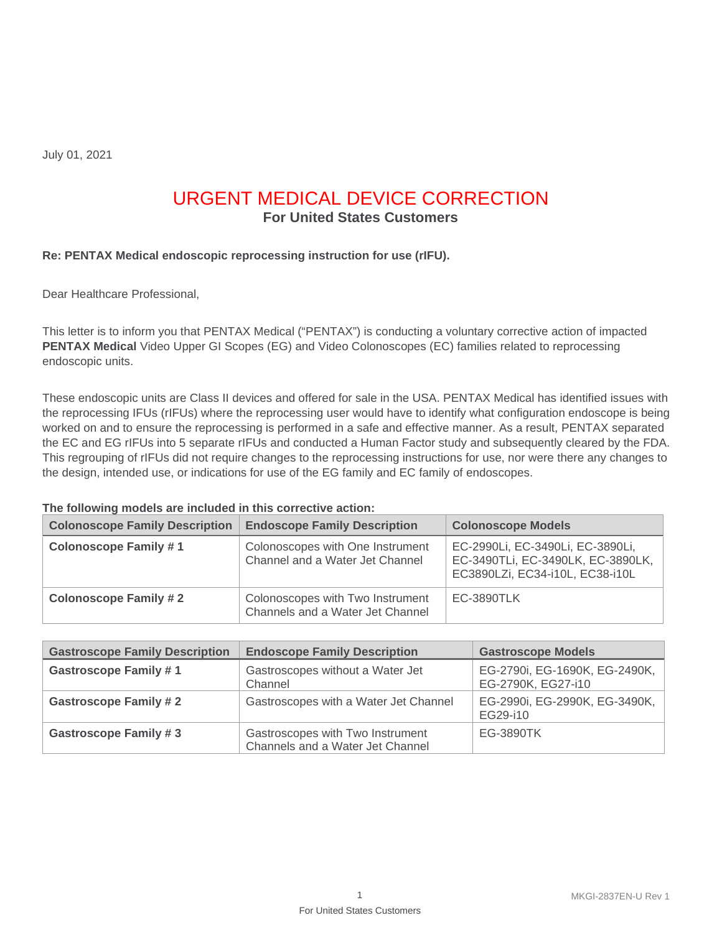July 01, 2021

# URGENT MEDICAL DEVICE CORRECTION

**For United States Customers** 

### **Re: PENTAX Medical endoscopic reprocessing instruction for use (rIFU).**

Dear Healthcare Professional,

This letter is to inform you that PENTAX Medical ("PENTAX") is conducting a voluntary corrective action of impacted **PENTAX Medical** Video Upper GI Scopes (EG) and Video Colonoscopes (EC) families related to reprocessing endoscopic units.

These endoscopic units are Class II devices and offered for sale in the USA. PENTAX Medical has identified issues with the reprocessing IFUs (rIFUs) where the reprocessing user would have to identify what configuration endoscope is being worked on and to ensure the reprocessing is performed in a safe and effective manner. As a result, PENTAX separated the EC and EG rIFUs into 5 separate rIFUs and conducted a Human Factor study and subsequently cleared by the FDA. This regrouping of rIFUs did not require changes to the reprocessing instructions for use, nor were there any changes to the design, intended use, or indications for use of the EG family and EC family of endoscopes.

#### **The following models are included in this corrective action:**

| <b>Colonoscope Family Description</b> | <b>Endoscope Family Description</b>                                  | <b>Colonoscope Models</b>                                                                                |
|---------------------------------------|----------------------------------------------------------------------|----------------------------------------------------------------------------------------------------------|
| <b>Colonoscope Family #1</b>          | Colonoscopes with One Instrument<br>Channel and a Water Jet Channel  | EC-2990Li, EC-3490Li, EC-3890Li,<br>EC-3490TLi, EC-3490LK, EC-3890LK,<br>EC3890LZi, EC34-i10L, EC38-i10L |
| <b>Colonoscope Family #2</b>          | Colonoscopes with Two Instrument<br>Channels and a Water Jet Channel | EC-3890TLK                                                                                               |

| <b>Gastroscope Family Description</b> | <b>Endoscope Family Description</b>                                  | <b>Gastroscope Models</b>                           |
|---------------------------------------|----------------------------------------------------------------------|-----------------------------------------------------|
| <b>Gastroscope Family #1</b>          | Gastroscopes without a Water Jet<br>Channel                          | EG-2790i, EG-1690K, EG-2490K,<br>EG-2790K, EG27-i10 |
| <b>Gastroscope Family #2</b>          | Gastroscopes with a Water Jet Channel                                | EG-2990i, EG-2990K, EG-3490K,<br>EG29-i10           |
| <b>Gastroscope Family #3</b>          | Gastroscopes with Two Instrument<br>Channels and a Water Jet Channel | EG-3890TK                                           |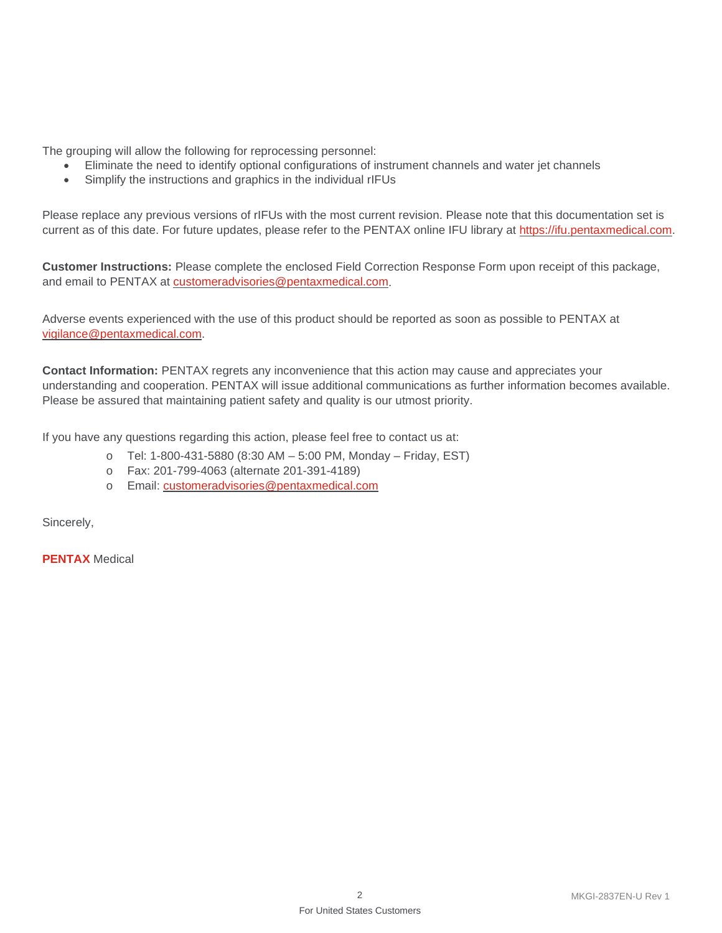The grouping will allow the following for reprocessing personnel:

- Eliminate the need to identify optional configurations of instrument channels and water jet channels
- Simplify the instructions and graphics in the individual rIFUs

Please replace any previous versions of rIFUs with the most current revision. Please note that this documentation set is current as of this date. For future updates, please refer to the PENTAX online IFU library at [https://ifu.pentaxmedical.com.](https://ifu.pentaxmedical.com/)

**Customer Instructions:** Please complete the enclosed Field Correction Response Form upon receipt of this package, and email to PENTAX at [customeradvisories@pentaxmedical.com.](mailto:customeradvisories@pentaxmedical.com)

Adverse events experienced with the use of this product should be reported as soon as possible to PENTAX at [vigilance@pentaxmedical.com.](mailto:vigilance@pentaxmedical.com)

**Contact Information:** PENTAX regrets any inconvenience that this action may cause and appreciates your understanding and cooperation. PENTAX will issue additional communications as further information becomes available. Please be assured that maintaining patient safety and quality is our utmost priority.

If you have any questions regarding this action, please feel free to contact us at:

- o Tel: 1-800-431-5880 (8:30 AM 5:00 PM, Monday Friday, EST)
- o Fax: 201-799-4063 (alternate 201-391-4189)
- o Email: [customeradvisories@pentaxmedical.com](mailto:customeradvisories@pentaxmedical.com)

Sincerely,

**PENTAX** Medical